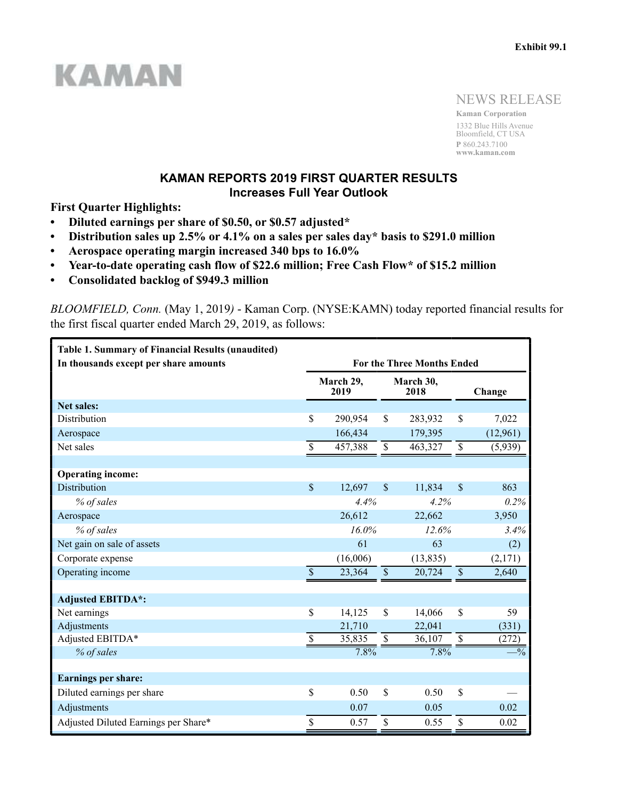

NEWS RELEASE

**Kaman Corporation** 1332 Blue Hills Avenue Bloomfield, CT USA **P** 860.243.7100 **www.kaman.com**

## **KAMAN REPORTS 2019 FIRST QUARTER RESULTS Increases Full Year Outlook**

**First Quarter Highlights:**

- **Diluted earnings per share of \$0.50, or \$0.57 adjusted\***
- **Distribution sales up 2.5% or 4.1% on a sales per sales day\* basis to \$291.0 million**
- **Aerospace operating margin increased 340 bps to 16.0%**
- **Year-to-date operating cash flow of \$22.6 million; Free Cash Flow\* of \$15.2 million**
- **Consolidated backlog of \$949.3 million**

*BLOOMFIELD, Conn.* (May 1, 2019*)* - Kaman Corp. (NYSE:KAMN) today reported financial results for the first fiscal quarter ended March 29, 2019, as follows:

| Table 1. Summary of Financial Results (unaudited)<br>In thousands except per share amounts |                                   |                                        |                           |           |               |               |  |
|--------------------------------------------------------------------------------------------|-----------------------------------|----------------------------------------|---------------------------|-----------|---------------|---------------|--|
|                                                                                            | <b>For the Three Months Ended</b> |                                        |                           |           |               |               |  |
|                                                                                            |                                   | March 29,<br>March 30,<br>2019<br>2018 |                           |           |               | Change        |  |
| Net sales:                                                                                 |                                   |                                        |                           |           |               |               |  |
| Distribution                                                                               | \$                                | 290,954                                | \$                        | 283,932   | \$            | 7,022         |  |
| Aerospace                                                                                  |                                   | 166,434                                |                           | 179,395   |               | (12,961)      |  |
| Net sales                                                                                  | \$                                | 457,388                                | \$                        | 463,327   | $\mathbb S$   | (5,939)       |  |
|                                                                                            |                                   |                                        |                           |           |               |               |  |
| <b>Operating income:</b>                                                                   |                                   |                                        |                           |           |               |               |  |
| <b>Distribution</b>                                                                        | $\mathsf{\$}$                     | 12,697                                 | $\mathsf{\$}$             | 11,834    | $\mathcal{S}$ | 863           |  |
| % of sales                                                                                 |                                   | 4.4%                                   |                           | 4.2%      |               | 0.2%          |  |
| Aerospace                                                                                  |                                   | 26,612                                 |                           | 22,662    |               | 3,950         |  |
| % of sales                                                                                 |                                   | $16.0\%$                               |                           | 12.6%     |               | 3.4%          |  |
| Net gain on sale of assets                                                                 |                                   | 61                                     |                           | 63        |               | (2)           |  |
| Corporate expense                                                                          |                                   | (16,006)                               |                           | (13, 835) |               | (2,171)       |  |
| Operating income                                                                           | $\mathsf{\$}$                     | 23,364                                 | $\boldsymbol{\mathsf{S}}$ | 20,724    | $\mathbb{S}$  | 2,640         |  |
|                                                                                            |                                   |                                        |                           |           |               |               |  |
| <b>Adjusted EBITDA*:</b>                                                                   |                                   |                                        |                           |           |               |               |  |
| Net earnings                                                                               | \$                                | 14,125                                 | $\mathsf{\$}$             | 14,066    | $\mathbf S$   | 59            |  |
| Adjustments                                                                                |                                   | 21,710                                 |                           | 22,041    |               | (331)         |  |
| Adjusted EBITDA*                                                                           | $\mathbb S$                       | 35,835                                 | ${\mathbb S}$             | 36,107    | $\mathbb{S}$  | (272)         |  |
| % of sales                                                                                 |                                   | 7.8%                                   |                           | 7.8%      |               | $\frac{1}{2}$ |  |
|                                                                                            |                                   |                                        |                           |           |               |               |  |
| <b>Earnings per share:</b>                                                                 |                                   |                                        |                           |           |               |               |  |
| Diluted earnings per share                                                                 | \$                                | 0.50                                   | \$                        | 0.50      | \$            |               |  |
| Adjustments                                                                                |                                   | 0.07                                   |                           | 0.05      |               | 0.02          |  |
| Adjusted Diluted Earnings per Share*                                                       | \$                                | 0.57                                   | \$                        | 0.55      | \$            | 0.02          |  |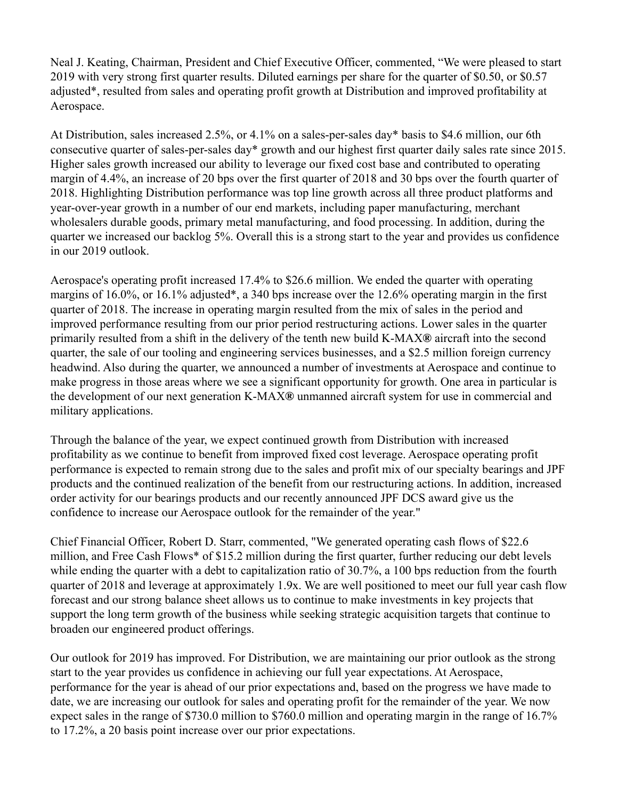Neal J. Keating, Chairman, President and Chief Executive Officer, commented, "We were pleased to start 2019 with very strong first quarter results. Diluted earnings per share for the quarter of \$0.50, or \$0.57 adjusted\*, resulted from sales and operating profit growth at Distribution and improved profitability at Aerospace.

At Distribution, sales increased 2.5%, or 4.1% on a sales-per-sales day\* basis to \$4.6 million, our 6th consecutive quarter of sales-per-sales day\* growth and our highest first quarter daily sales rate since 2015. Higher sales growth increased our ability to leverage our fixed cost base and contributed to operating margin of 4.4%, an increase of 20 bps over the first quarter of 2018 and 30 bps over the fourth quarter of 2018. Highlighting Distribution performance was top line growth across all three product platforms and year-over-year growth in a number of our end markets, including paper manufacturing, merchant wholesalers durable goods, primary metal manufacturing, and food processing. In addition, during the quarter we increased our backlog 5%. Overall this is a strong start to the year and provides us confidence in our 2019 outlook.

Aerospace's operating profit increased 17.4% to \$26.6 million. We ended the quarter with operating margins of 16.0%, or 16.1% adjusted\*, a 340 bps increase over the 12.6% operating margin in the first quarter of 2018. The increase in operating margin resulted from the mix of sales in the period and improved performance resulting from our prior period restructuring actions. Lower sales in the quarter primarily resulted from a shift in the delivery of the tenth new build K-MAX**®** aircraft into the second quarter, the sale of our tooling and engineering services businesses, and a \$2.5 million foreign currency headwind. Also during the quarter, we announced a number of investments at Aerospace and continue to make progress in those areas where we see a significant opportunity for growth. One area in particular is the development of our next generation K-MAX**®** unmanned aircraft system for use in commercial and military applications.

Through the balance of the year, we expect continued growth from Distribution with increased profitability as we continue to benefit from improved fixed cost leverage. Aerospace operating profit performance is expected to remain strong due to the sales and profit mix of our specialty bearings and JPF products and the continued realization of the benefit from our restructuring actions. In addition, increased order activity for our bearings products and our recently announced JPF DCS award give us the confidence to increase our Aerospace outlook for the remainder of the year."

Chief Financial Officer, Robert D. Starr, commented, "We generated operating cash flows of \$22.6 million, and Free Cash Flows\* of \$15.2 million during the first quarter, further reducing our debt levels while ending the quarter with a debt to capitalization ratio of 30.7%, a 100 bps reduction from the fourth quarter of 2018 and leverage at approximately 1.9x. We are well positioned to meet our full year cash flow forecast and our strong balance sheet allows us to continue to make investments in key projects that support the long term growth of the business while seeking strategic acquisition targets that continue to broaden our engineered product offerings.

Our outlook for 2019 has improved. For Distribution, we are maintaining our prior outlook as the strong start to the year provides us confidence in achieving our full year expectations. At Aerospace, performance for the year is ahead of our prior expectations and, based on the progress we have made to date, we are increasing our outlook for sales and operating profit for the remainder of the year. We now expect sales in the range of \$730.0 million to \$760.0 million and operating margin in the range of 16.7% to 17.2%, a 20 basis point increase over our prior expectations.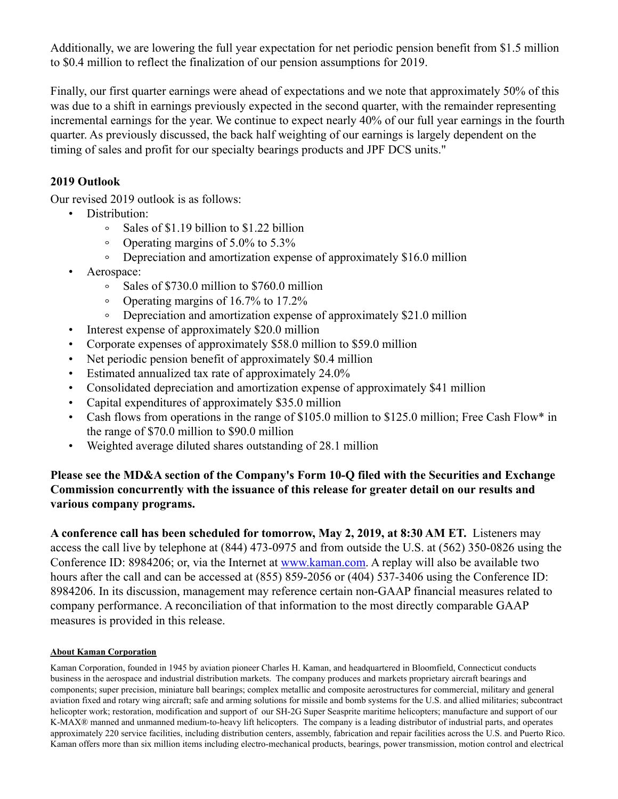Additionally, we are lowering the full year expectation for net periodic pension benefit from \$1.5 million to \$0.4 million to reflect the finalization of our pension assumptions for 2019.

Finally, our first quarter earnings were ahead of expectations and we note that approximately 50% of this was due to a shift in earnings previously expected in the second quarter, with the remainder representing incremental earnings for the year. We continue to expect nearly 40% of our full year earnings in the fourth quarter. As previously discussed, the back half weighting of our earnings is largely dependent on the timing of sales and profit for our specialty bearings products and JPF DCS units."

# **2019 Outlook**

Our revised 2019 outlook is as follows:

- Distribution:
	- $\circ$ Sales of \$1.19 billion to \$1.22 billion
	- Operating margins of 5.0% to 5.3%
	- $\circ$ Depreciation and amortization expense of approximately \$16.0 million
- Aerospace:
	- Sales of \$730.0 million to \$760.0 million  $\circ$
	- Operating margins of  $16.7\%$  to  $17.2\%$
	- Depreciation and amortization expense of approximately \$21.0 million
- Interest expense of approximately \$20.0 million
- Corporate expenses of approximately \$58.0 million to \$59.0 million
- Net periodic pension benefit of approximately \$0.4 million
- Estimated annualized tax rate of approximately 24.0%
- Consolidated depreciation and amortization expense of approximately \$41 million
- Capital expenditures of approximately \$35.0 million
- Cash flows from operations in the range of \$105.0 million to \$125.0 million; Free Cash Flow\* in the range of \$70.0 million to \$90.0 million
- Weighted average diluted shares outstanding of 28.1 million

# **Please see the MD&A section of the Company's Form 10-Q filed with the Securities and Exchange Commission concurrently with the issuance of this release for greater detail on our results and various company programs.**

**A conference call has been scheduled for tomorrow, May 2, 2019, at 8:30 AM ET.** Listeners may access the call live by telephone at (844) 473-0975 and from outside the U.S. at (562) 350-0826 using the Conference ID: 8984206; or, via the Internet at www.kaman.com. A replay will also be available two hours after the call and can be accessed at (855) 859-2056 or (404) 537-3406 using the Conference ID: 8984206. In its discussion, management may reference certain non-GAAP financial measures related to company performance. A reconciliation of that information to the most directly comparable GAAP measures is provided in this release.

## **About Kaman Corporation**

Kaman Corporation, founded in 1945 by aviation pioneer Charles H. Kaman, and headquartered in Bloomfield, Connecticut conducts business in the aerospace and industrial distribution markets. The company produces and markets proprietary aircraft bearings and components; super precision, miniature ball bearings; complex metallic and composite aerostructures for commercial, military and general aviation fixed and rotary wing aircraft; safe and arming solutions for missile and bomb systems for the U.S. and allied militaries; subcontract helicopter work; restoration, modification and support of our SH-2G Super Seasprite maritime helicopters; manufacture and support of our K-MAX® manned and unmanned medium-to-heavy lift helicopters. The company is a leading distributor of industrial parts, and operates approximately 220 service facilities, including distribution centers, assembly, fabrication and repair facilities across the U.S. and Puerto Rico. Kaman offers more than six million items including electro-mechanical products, bearings, power transmission, motion control and electrical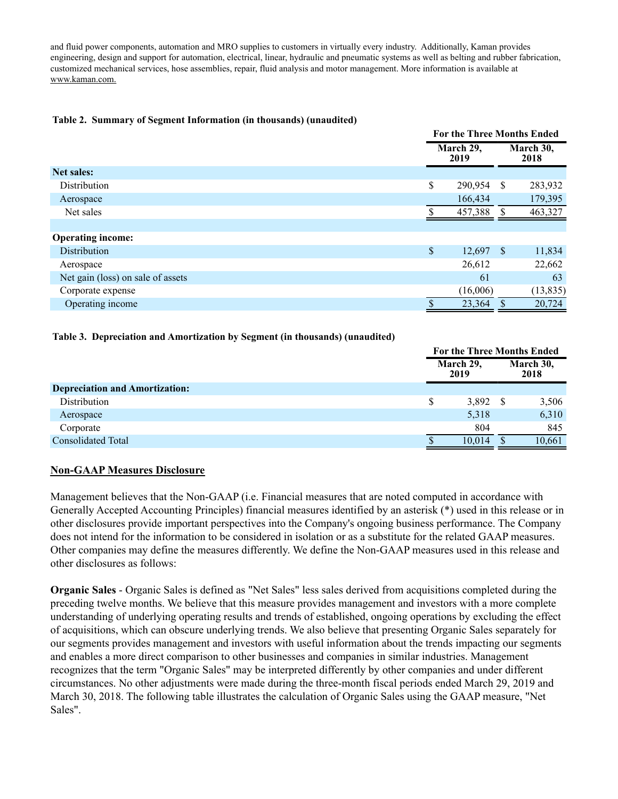and fluid power components, automation and MRO supplies to customers in virtually every industry. Additionally, Kaman provides engineering, design and support for automation, electrical, linear, hydraulic and pneumatic systems as well as belting and rubber fabrication, customized mechanical services, hose assemblies, repair, fluid analysis and motor management. More information is available at www.kaman.com.

#### **Table 2. Summary of Segment Information (in thousands) (unaudited)**

|                                   | <b>For the Three Months Ended</b> |                        |  |  |
|-----------------------------------|-----------------------------------|------------------------|--|--|
|                                   | March 29,<br>2019                 |                        |  |  |
| <b>Net sales:</b>                 |                                   |                        |  |  |
| Distribution                      | \$<br>290,954                     | S<br>283,932           |  |  |
| Aerospace                         | 166,434                           | 179,395                |  |  |
| Net sales                         | 457,388                           | 463,327<br>S           |  |  |
|                                   |                                   |                        |  |  |
| <b>Operating income:</b>          |                                   |                        |  |  |
| Distribution                      | \$<br>12,697                      | 11,834<br><sup>S</sup> |  |  |
| Aerospace                         | 26,612                            | 22,662                 |  |  |
| Net gain (loss) on sale of assets | 61                                | 63                     |  |  |
| Corporate expense                 | (16,006)                          | (13, 835)              |  |  |
| Operating income                  | 23,364                            | 20,724<br>\$.          |  |  |

#### **Table 3. Depreciation and Amortization by Segment (in thousands) (unaudited)**

|                                       | <b>For the Three Months Ended</b> |                   |  |                   |
|---------------------------------------|-----------------------------------|-------------------|--|-------------------|
|                                       |                                   | March 29,<br>2019 |  | March 30,<br>2018 |
| <b>Depreciation and Amortization:</b> |                                   |                   |  |                   |
| Distribution                          | S                                 | 3,892             |  | 3,506             |
| Aerospace                             |                                   | 5,318             |  | 6,310             |
| Corporate                             |                                   | 804               |  | 845               |
| <b>Consolidated Total</b>             |                                   | 10.014            |  | 10,661            |

## **Non-GAAP Measures Disclosure**

Management believes that the Non-GAAP (i.e. Financial measures that are noted computed in accordance with Generally Accepted Accounting Principles) financial measures identified by an asterisk (\*) used in this release or in other disclosures provide important perspectives into the Company's ongoing business performance. The Company does not intend for the information to be considered in isolation or as a substitute for the related GAAP measures. Other companies may define the measures differently. We define the Non-GAAP measures used in this release and other disclosures as follows:

**Organic Sales** - Organic Sales is defined as "Net Sales" less sales derived from acquisitions completed during the preceding twelve months. We believe that this measure provides management and investors with a more complete understanding of underlying operating results and trends of established, ongoing operations by excluding the effect of acquisitions, which can obscure underlying trends. We also believe that presenting Organic Sales separately for our segments provides management and investors with useful information about the trends impacting our segments and enables a more direct comparison to other businesses and companies in similar industries. Management recognizes that the term "Organic Sales" may be interpreted differently by other companies and under different circumstances. No other adjustments were made during the three-month fiscal periods ended March 29, 2019 and March 30, 2018. The following table illustrates the calculation of Organic Sales using the GAAP measure, "Net Sales".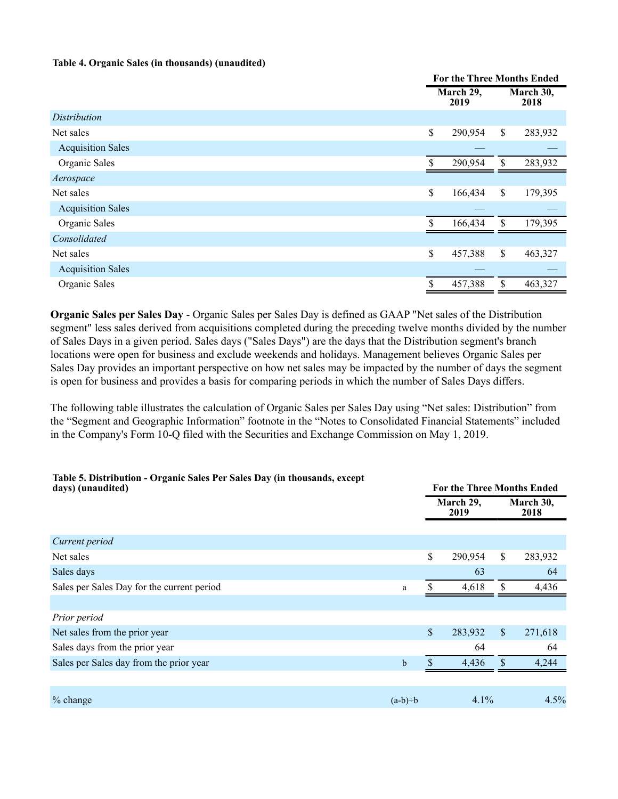#### **Table 4. Organic Sales (in thousands) (unaudited)**

|                          | <b>For the Three Months Ended</b> |         |              |                   |
|--------------------------|-----------------------------------|---------|--------------|-------------------|
|                          | March 29,<br>2019                 |         |              | March 30,<br>2018 |
| <b>Distribution</b>      |                                   |         |              |                   |
| Net sales                | \$                                | 290,954 | $\mathbb{S}$ | 283,932           |
| <b>Acquisition Sales</b> |                                   |         |              |                   |
| Organic Sales            | S                                 | 290,954 | \$           | 283,932           |
| Aerospace                |                                   |         |              |                   |
| Net sales                | \$                                | 166,434 | \$           | 179,395           |
| <b>Acquisition Sales</b> |                                   |         |              |                   |
| Organic Sales            |                                   | 166,434 | \$           | 179,395           |
| Consolidated             |                                   |         |              |                   |
| Net sales                | \$                                | 457,388 | \$           | 463,327           |
| <b>Acquisition Sales</b> |                                   |         |              |                   |
| Organic Sales            | ъ.                                | 457,388 | \$           | 463,327           |

**Organic Sales per Sales Day** - Organic Sales per Sales Day is defined as GAAP "Net sales of the Distribution segment" less sales derived from acquisitions completed during the preceding twelve months divided by the number of Sales Days in a given period. Sales days ("Sales Days") are the days that the Distribution segment's branch locations were open for business and exclude weekends and holidays. Management believes Organic Sales per Sales Day provides an important perspective on how net sales may be impacted by the number of days the segment is open for business and provides a basis for comparing periods in which the number of Sales Days differs.

The following table illustrates the calculation of Organic Sales per Sales Day using "Net sales: Distribution" from the "Segment and Geographic Information" footnote in the "Notes to Consolidated Financial Statements" included in the Company's Form 10-Q filed with the Securities and Exchange Commission on May 1, 2019.

# **Table 5. Distribution - Organic Sales Per Sales Day (in thousands, except**

| days) (unaudited)                          |             | <b>For the Three Months Ended</b> |         |                   |         |
|--------------------------------------------|-------------|-----------------------------------|---------|-------------------|---------|
|                                            |             | March 29,<br>2019                 |         | March 30,<br>2018 |         |
|                                            |             |                                   |         |                   |         |
| Current period                             |             |                                   |         |                   |         |
| Net sales                                  |             | \$                                | 290,954 | \$                | 283,932 |
| Sales days                                 |             |                                   | 63      |                   | 64      |
| Sales per Sales Day for the current period | a           |                                   | 4,618   | \$                | 4,436   |
|                                            |             |                                   |         |                   |         |
| Prior period                               |             |                                   |         |                   |         |
| Net sales from the prior year              |             | \$                                | 283,932 | $\sqrt{\ }$       | 271,618 |
| Sales days from the prior year             |             |                                   | 64      |                   | 64      |
| Sales per Sales day from the prior year    | $\mathbf b$ |                                   | 4,436   | $\mathbf{\$}$     | 4,244   |
|                                            |             |                                   |         |                   |         |
| % change                                   | $(a-b)=b$   |                                   | 4.1%    |                   | 4.5%    |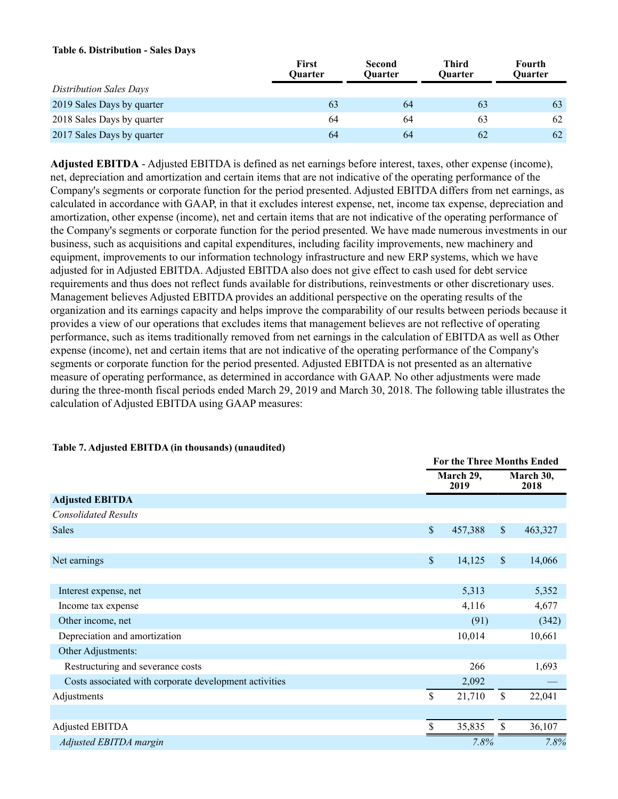#### **Table 6. Distribution - Sales Days**

|                                | <b>First</b><br><b>Ouarter</b> | <b>Second</b><br><b>Ouarter</b> | Third<br>Ouarter | Fourth<br><b>Ouarter</b> |
|--------------------------------|--------------------------------|---------------------------------|------------------|--------------------------|
| <b>Distribution Sales Days</b> |                                |                                 |                  |                          |
| 2019 Sales Days by quarter     | 63                             | 64                              | 63               | 63                       |
| 2018 Sales Days by quarter     | 64                             | 64                              | 63               | 62                       |
| 2017 Sales Days by quarter     | 64                             | 64                              | 62               | 62                       |

**Adjusted EBITDA** - Adjusted EBITDA is defined as net earnings before interest, taxes, other expense (income), net, depreciation and amortization and certain items that are not indicative of the operating performance of the Company's segments or corporate function for the period presented. Adjusted EBITDA differs from net earnings, as calculated in accordance with GAAP, in that it excludes interest expense, net, income tax expense, depreciation and amortization, other expense (income), net and certain items that are not indicative of the operating performance of the Company's segments or corporate function for the period presented. We have made numerous investments in our business, such as acquisitions and capital expenditures, including facility improvements, new machinery and equipment, improvements to our information technology infrastructure and new ERP systems, which we have adjusted for in Adjusted EBITDA. Adjusted EBITDA also does not give effect to cash used for debt service requirements and thus does not reflect funds available for distributions, reinvestments or other discretionary uses. Management believes Adjusted EBITDA provides an additional perspective on the operating results of the organization and its earnings capacity and helps improve the comparability of our results between periods because it provides a view of our operations that excludes items that management believes are not reflective of operating performance, such as items traditionally removed from net earnings in the calculation of EBITDA as well as Other expense (income), net and certain items that are not indicative of the operating performance of the Company's segments or corporate function for the period presented. Adjusted EBITDA is not presented as an alternative measure of operating performance, as determined in accordance with GAAP. No other adjustments were made during the three-month fiscal periods ended March 29, 2019 and March 30, 2018. The following table illustrates the calculation of Adjusted EBITDA using GAAP measures:

|                                                        |              | <b>For the Three Months Ended</b> |                    |         |  |                   |
|--------------------------------------------------------|--------------|-----------------------------------|--------------------|---------|--|-------------------|
|                                                        |              | March 29,<br>2019                 |                    |         |  | March 30,<br>2018 |
| <b>Adjusted EBITDA</b>                                 |              |                                   |                    |         |  |                   |
| <b>Consolidated Results</b>                            |              |                                   |                    |         |  |                   |
| <b>Sales</b>                                           | \$           | 457,388                           | $\mathcal{S}$      | 463,327 |  |                   |
|                                                        |              |                                   |                    |         |  |                   |
| Net earnings                                           | $\mathbb{S}$ | 14,125                            | $\mathbf{\hat{S}}$ | 14,066  |  |                   |
|                                                        |              |                                   |                    |         |  |                   |
| Interest expense, net                                  |              | 5,313                             |                    | 5,352   |  |                   |
| Income tax expense                                     |              | 4,116                             |                    | 4,677   |  |                   |
| Other income, net                                      |              | (91)                              |                    | (342)   |  |                   |
| Depreciation and amortization                          |              | 10,014                            |                    | 10,661  |  |                   |
| Other Adjustments:                                     |              |                                   |                    |         |  |                   |
| Restructuring and severance costs                      |              | 266                               |                    | 1,693   |  |                   |
| Costs associated with corporate development activities |              | 2,092                             |                    |         |  |                   |
| Adjustments                                            | \$           | 21,710                            | \$                 | 22,041  |  |                   |
|                                                        |              |                                   |                    |         |  |                   |
| Adjusted EBITDA                                        |              | 35,835                            | \$                 | 36,107  |  |                   |
| Adjusted EBITDA margin                                 |              | 7.8%                              |                    | 7.8%    |  |                   |

#### **Table 7. Adjusted EBITDA (in thousands) (unaudited)**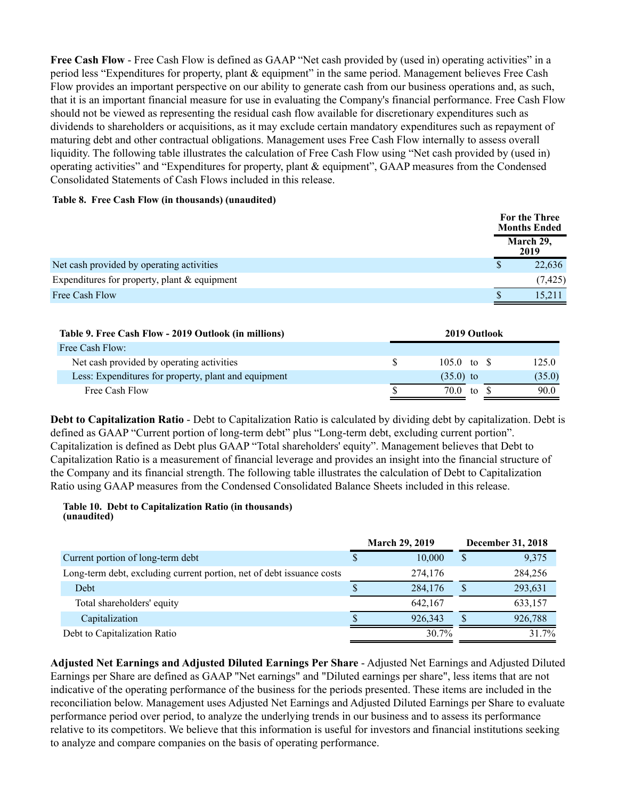**Free Cash Flow** - Free Cash Flow is defined as GAAP "Net cash provided by (used in) operating activities" in a period less "Expenditures for property, plant & equipment" in the same period. Management believes Free Cash Flow provides an important perspective on our ability to generate cash from our business operations and, as such, that it is an important financial measure for use in evaluating the Company's financial performance. Free Cash Flow should not be viewed as representing the residual cash flow available for discretionary expenditures such as dividends to shareholders or acquisitions, as it may exclude certain mandatory expenditures such as repayment of maturing debt and other contractual obligations. Management uses Free Cash Flow internally to assess overall liquidity. The following table illustrates the calculation of Free Cash Flow using "Net cash provided by (used in) operating activities" and "Expenditures for property, plant & equipment", GAAP measures from the Condensed Consolidated Statements of Cash Flows included in this release.

#### **Table 8. Free Cash Flow (in thousands) (unaudited)**

|                                                | <b>For the Three</b><br><b>Months Ended</b> |
|------------------------------------------------|---------------------------------------------|
|                                                | March 29,<br>2019                           |
| Net cash provided by operating activities      | 22,636                                      |
| Expenditures for property, plant $&$ equipment | (7, 425)                                    |
| Free Cash Flow                                 | 15.211                                      |

| Table 9. Free Cash Flow - 2019 Outlook (in millions) |    |             |    | 2019 Outlook |        |
|------------------------------------------------------|----|-------------|----|--------------|--------|
| Free Cash Flow:                                      |    |             |    |              |        |
| Net cash provided by operating activities            | S. | 105.0 to \$ |    |              | 125.0  |
| Less: Expenditures for property, plant and equipment |    | $(35.0)$ to |    |              | (35.0) |
| Free Cash Flow                                       |    | 70.0        | to |              | 90.0   |

**Debt to Capitalization Ratio** - Debt to Capitalization Ratio is calculated by dividing debt by capitalization. Debt is defined as GAAP "Current portion of long-term debt" plus "Long-term debt, excluding current portion". Capitalization is defined as Debt plus GAAP "Total shareholders' equity". Management believes that Debt to Capitalization Ratio is a measurement of financial leverage and provides an insight into the financial structure of the Company and its financial strength. The following table illustrates the calculation of Debt to Capitalization Ratio using GAAP measures from the Condensed Consolidated Balance Sheets included in this release.

#### **Table 10. Debt to Capitalization Ratio (in thousands) (unaudited)**

|                                                                       |   | <b>March 29, 2019</b> |     | December 31, 2018 |
|-----------------------------------------------------------------------|---|-----------------------|-----|-------------------|
| Current portion of long-term debt                                     | S | 10,000                | S   | 9,375             |
| Long-term debt, excluding current portion, net of debt issuance costs |   | 274,176               |     | 284,256           |
| Debt                                                                  |   | 284,176               |     | 293,631           |
| Total shareholders' equity                                            |   | 642.167               |     | 633,157           |
| Capitalization                                                        |   | 926.343               | \$. | 926,788           |
| Debt to Capitalization Ratio                                          |   | $30.7\%$              |     | $31.7\%$          |

**Adjusted Net Earnings and Adjusted Diluted Earnings Per Share** - Adjusted Net Earnings and Adjusted Diluted Earnings per Share are defined as GAAP "Net earnings" and "Diluted earnings per share", less items that are not indicative of the operating performance of the business for the periods presented. These items are included in the reconciliation below. Management uses Adjusted Net Earnings and Adjusted Diluted Earnings per Share to evaluate performance period over period, to analyze the underlying trends in our business and to assess its performance relative to its competitors. We believe that this information is useful for investors and financial institutions seeking to analyze and compare companies on the basis of operating performance.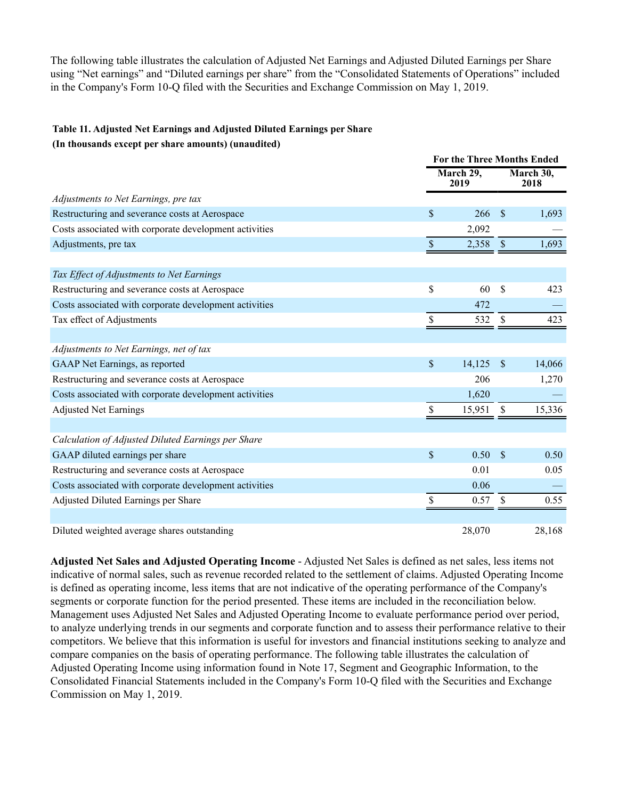The following table illustrates the calculation of Adjusted Net Earnings and Adjusted Diluted Earnings per Share using "Net earnings" and "Diluted earnings per share" from the "Consolidated Statements of Operations" included in the Company's Form 10-Q filed with the Securities and Exchange Commission on May 1, 2019.

#### **Table 11. Adjusted Net Earnings and Adjusted Diluted Earnings per Share**

**(In thousands except per share amounts) (unaudited)**

|                                                        |                    | <b>For the Three Months Ended</b>   |                   |  |
|--------------------------------------------------------|--------------------|-------------------------------------|-------------------|--|
|                                                        | March 29,<br>2019  |                                     | March 30,<br>2018 |  |
| Adjustments to Net Earnings, pre tax                   |                    |                                     |                   |  |
| Restructuring and severance costs at Aerospace         | $\mathbf{\$}$      | 266<br>$\mathbb{S}$                 | 1,693             |  |
| Costs associated with corporate development activities |                    | 2,092                               |                   |  |
| Adjustments, pre tax                                   | \$                 | 2,358<br>$\mathcal{S}$              | 1,693             |  |
|                                                        |                    |                                     |                   |  |
| Tax Effect of Adjustments to Net Earnings              |                    |                                     |                   |  |
| Restructuring and severance costs at Aerospace         | \$                 | \$<br>60                            | 423               |  |
| Costs associated with corporate development activities |                    | 472                                 |                   |  |
| Tax effect of Adjustments                              | \$                 | 532<br>\$                           | 423               |  |
|                                                        |                    |                                     |                   |  |
| Adjustments to Net Earnings, net of tax                |                    |                                     |                   |  |
| GAAP Net Earnings, as reported                         | \$                 | 14,125<br>$\boldsymbol{\mathsf{S}}$ | 14,066            |  |
| Restructuring and severance costs at Aerospace         |                    | 206                                 | 1,270             |  |
| Costs associated with corporate development activities |                    | 1,620                               |                   |  |
| <b>Adjusted Net Earnings</b>                           | \$                 | \$<br>15,951                        | 15,336            |  |
|                                                        |                    |                                     |                   |  |
| Calculation of Adjusted Diluted Earnings per Share     |                    |                                     |                   |  |
| GAAP diluted earnings per share                        | $\mathbf{\hat{S}}$ | $\mathcal{S}$<br>0.50               | 0.50              |  |
| Restructuring and severance costs at Aerospace         |                    | 0.01                                | 0.05              |  |
| Costs associated with corporate development activities |                    | 0.06                                |                   |  |
| Adjusted Diluted Earnings per Share                    |                    | \$<br>0.57                          | 0.55              |  |
|                                                        |                    |                                     |                   |  |
| Diluted weighted average shares outstanding            |                    | 28,070                              | 28,168            |  |

**Adjusted Net Sales and Adjusted Operating Income** - Adjusted Net Sales is defined as net sales, less items not indicative of normal sales, such as revenue recorded related to the settlement of claims. Adjusted Operating Income is defined as operating income, less items that are not indicative of the operating performance of the Company's segments or corporate function for the period presented. These items are included in the reconciliation below. Management uses Adjusted Net Sales and Adjusted Operating Income to evaluate performance period over period, to analyze underlying trends in our segments and corporate function and to assess their performance relative to their competitors. We believe that this information is useful for investors and financial institutions seeking to analyze and compare companies on the basis of operating performance. The following table illustrates the calculation of Adjusted Operating Income using information found in Note 17, Segment and Geographic Information, to the Consolidated Financial Statements included in the Company's Form 10-Q filed with the Securities and Exchange Commission on May 1, 2019.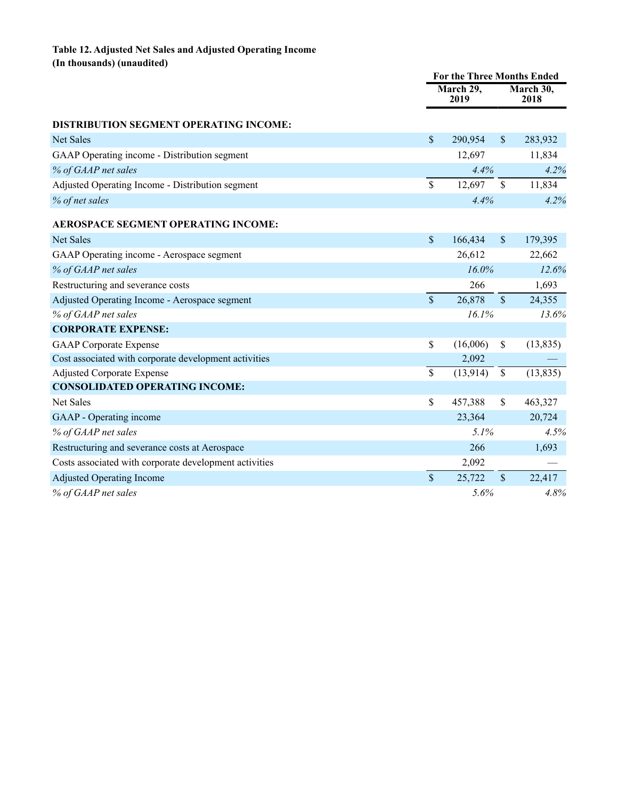# **Table 12. Adjusted Net Sales and Adjusted Operating Income**

**(In thousands) (unaudited)**

|                                                        |                          | <b>For the Three Months Ended</b> |                           |                   |
|--------------------------------------------------------|--------------------------|-----------------------------------|---------------------------|-------------------|
|                                                        |                          | March 29,<br>2019                 |                           | March 30,<br>2018 |
| <b>DISTRIBUTION SEGMENT OPERATING INCOME:</b>          |                          |                                   |                           |                   |
| <b>Net Sales</b>                                       | $\mathbb{S}$             | 290,954                           | $\mathbf{\$}$             | 283,932           |
| GAAP Operating income - Distribution segment           |                          | 12,697                            |                           | 11,834            |
| % of GAAP net sales                                    |                          | 4.4%                              |                           | 4.2%              |
| Adjusted Operating Income - Distribution segment       | \$                       | 12,697                            | <sup>\$</sup>             | 11,834            |
| % of net sales                                         |                          | 4.4%                              |                           | 4.2%              |
| AEROSPACE SEGMENT OPERATING INCOME:                    |                          |                                   |                           |                   |
| <b>Net Sales</b>                                       | $\mathbf{\hat{S}}$       | 166,434                           | $\boldsymbol{\mathsf{S}}$ | 179,395           |
| GAAP Operating income - Aerospace segment              |                          | 26,612                            |                           | 22,662            |
| % of GAAP net sales                                    |                          | $16.0\%$                          |                           | 12.6%             |
| Restructuring and severance costs                      |                          | 266                               |                           | 1,693             |
| Adjusted Operating Income - Aerospace segment          | $\mathbf{\hat{S}}$       | 26,878                            | $\mathbf{\hat{S}}$        | 24,355            |
| % of GAAP net sales                                    |                          | 16.1%                             |                           | 13.6%             |
| <b>CORPORATE EXPENSE:</b>                              |                          |                                   |                           |                   |
| <b>GAAP</b> Corporate Expense                          | \$                       | (16,006)                          | $\mathbf{\hat{S}}$        | (13, 835)         |
| Cost associated with corporate development activities  |                          | 2,092                             |                           |                   |
| <b>Adjusted Corporate Expense</b>                      | $\overline{\mathcal{S}}$ | (13,914)                          | $\overline{\mathcal{S}}$  | (13,835)          |
| <b>CONSOLIDATED OPERATING INCOME:</b>                  |                          |                                   |                           |                   |
| <b>Net Sales</b>                                       | \$                       | 457,388                           | \$.                       | 463,327           |
| GAAP - Operating income                                |                          | 23,364                            |                           | 20,724            |
| % of GAAP net sales                                    |                          | 5.1%                              |                           | 4.5%              |
| Restructuring and severance costs at Aerospace         |                          | 266                               |                           | 1,693             |
| Costs associated with corporate development activities |                          | 2,092                             |                           |                   |
| <b>Adjusted Operating Income</b>                       | $\mathsf{\$}$            | 25,722                            | $\boldsymbol{\mathsf{S}}$ | 22,417            |
| % of GAAP net sales                                    |                          | 5.6%                              |                           | 4.8%              |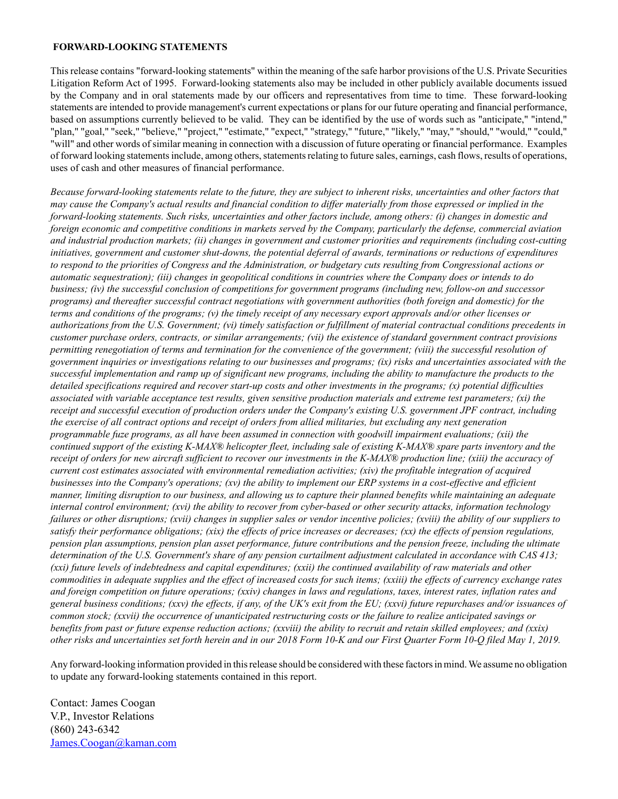#### **FORWARD-LOOKING STATEMENTS**

This release contains "forward-looking statements" within the meaning of the safe harbor provisions of the U.S. Private Securities Litigation Reform Act of 1995. Forward-looking statements also may be included in other publicly available documents issued by the Company and in oral statements made by our officers and representatives from time to time. These forward-looking statements are intended to provide management's current expectations or plans for our future operating and financial performance, based on assumptions currently believed to be valid. They can be identified by the use of words such as "anticipate," "intend," "plan," "goal," "seek," "believe," "project," "estimate," "expect," "strategy," "future," "likely," "may," "should," "would," "could," "will" and other words of similar meaning in connection with a discussion of future operating or financial performance. Examples of forward looking statements include, among others, statements relating to future sales, earnings, cash flows, results of operations, uses of cash and other measures of financial performance.

*Because forward-looking statements relate to the future, they are subject to inherent risks, uncertainties and other factors that may cause the Company's actual results and financial condition to differ materially from those expressed or implied in the forward-looking statements. Such risks, uncertainties and other factors include, among others: (i) changes in domestic and foreign economic and competitive conditions in markets served by the Company, particularly the defense, commercial aviation and industrial production markets; (ii) changes in government and customer priorities and requirements (including cost-cutting initiatives, government and customer shut-downs, the potential deferral of awards, terminations or reductions of expenditures to respond to the priorities of Congress and the Administration, or budgetary cuts resulting from Congressional actions or automatic sequestration); (iii) changes in geopolitical conditions in countries where the Company does or intends to do business; (iv) the successful conclusion of competitions for government programs (including new, follow-on and successor programs) and thereafter successful contract negotiations with government authorities (both foreign and domestic) for the terms and conditions of the programs; (v) the timely receipt of any necessary export approvals and/or other licenses or authorizations from the U.S. Government; (vi) timely satisfaction or fulfillment of material contractual conditions precedents in customer purchase orders, contracts, or similar arrangements; (vii) the existence of standard government contract provisions permitting renegotiation of terms and termination for the convenience of the government; (viii) the successful resolution of government inquiries or investigations relating to our businesses and programs; (ix) risks and uncertainties associated with the successful implementation and ramp up of significant new programs, including the ability to manufacture the products to the detailed specifications required and recover start-up costs and other investments in the programs; (x) potential difficulties associated with variable acceptance test results, given sensitive production materials and extreme test parameters; (xi) the receipt and successful execution of production orders under the Company's existing U.S. government JPF contract, including the exercise of all contract options and receipt of orders from allied militaries, but excluding any next generation programmable fuze programs, as all have been assumed in connection with goodwill impairment evaluations; (xii) the continued support of the existing K-MAX® helicopter fleet, including sale of existing K-MAX® spare parts inventory and the receipt of orders for new aircraft sufficient to recover our investments in the K-MAX® production line; (xiii) the accuracy of current cost estimates associated with environmental remediation activities; (xiv) the profitable integration of acquired businesses into the Company's operations; (xv) the ability to implement our ERP systems in a cost-effective and efficient manner, limiting disruption to our business, and allowing us to capture their planned benefits while maintaining an adequate internal control environment; (xvi) the ability to recover from cyber-based or other security attacks, information technology failures or other disruptions; (xvii) changes in supplier sales or vendor incentive policies; (xviii) the ability of our suppliers to satisfy their performance obligations; (xix) the effects of price increases or decreases; (xx) the effects of pension regulations, pension plan assumptions, pension plan asset performance, future contributions and the pension freeze, including the ultimate determination of the U.S. Government's share of any pension curtailment adjustment calculated in accordance with CAS 413; (xxi) future levels of indebtedness and capital expenditures; (xxii) the continued availability of raw materials and other commodities in adequate supplies and the effect of increased costs for such items; (xxiii) the effects of currency exchange rates and foreign competition on future operations; (xxiv) changes in laws and regulations, taxes, interest rates, inflation rates and general business conditions; (xxv) the effects, if any, of the UK's exit from the EU; (xxvi) future repurchases and/or issuances of common stock; (xxvii) the occurrence of unanticipated restructuring costs or the failure to realize anticipated savings or benefits from past or future expense reduction actions; (xxviii) the ability to recruit and retain skilled employees; and (xxix) other risks and uncertainties set forth herein and in our 2018 Form 10-K and our First Quarter Form 10-Q filed May 1, 2019.*

Any forward-looking information provided in this release should be considered with these factors in mind. We assume no obligation to update any forward-looking statements contained in this report.

Contact: James Coogan V.P., Investor Relations (860) 243-6342 James.Coogan@kaman.com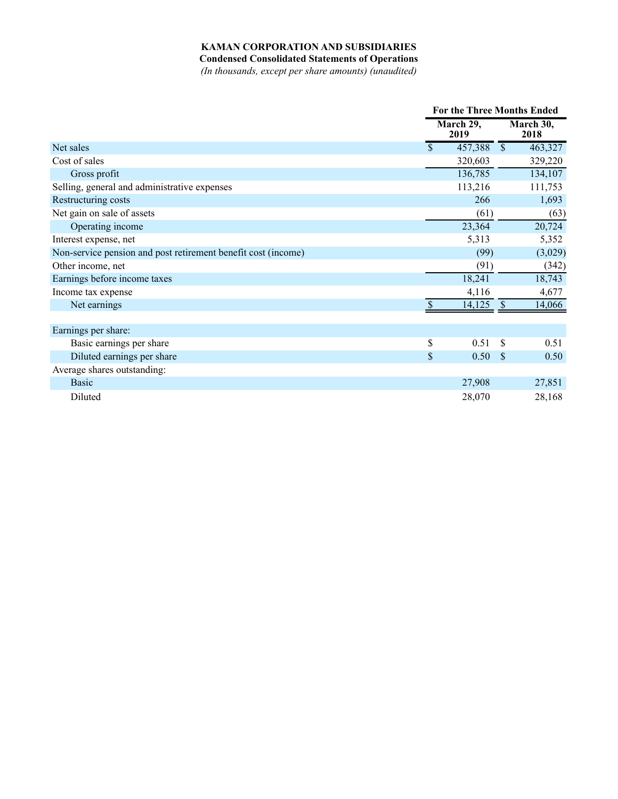## **KAMAN CORPORATION AND SUBSIDIARIES**

**Condensed Consolidated Statements of Operations**

*(In thousands, except per share amounts) (unaudited)*

|                                                               |             | <b>For the Three Months Ended</b> |                         |                   |
|---------------------------------------------------------------|-------------|-----------------------------------|-------------------------|-------------------|
|                                                               |             | March 29,<br>2019                 |                         | March 30,<br>2018 |
| Net sales                                                     | $\mathbf S$ | 457,388                           | $\overline{\mathbb{S}}$ | 463,327           |
| Cost of sales                                                 |             | 320,603                           |                         | 329,220           |
| Gross profit                                                  |             | 136,785                           |                         | 134,107           |
| Selling, general and administrative expenses                  |             | 113,216                           |                         | 111,753           |
| Restructuring costs                                           |             | 266                               |                         | 1,693             |
| Net gain on sale of assets                                    |             | (61)                              |                         | (63)              |
| Operating income                                              |             | 23,364                            |                         | 20,724            |
| Interest expense, net                                         |             | 5,313                             |                         | 5,352             |
| Non-service pension and post retirement benefit cost (income) |             | (99)                              |                         | (3,029)           |
| Other income, net                                             |             | (91)                              |                         | (342)             |
| Earnings before income taxes                                  |             | 18,241                            |                         | 18,743            |
| Income tax expense                                            |             | 4,116                             |                         | 4,677             |
| Net earnings                                                  |             | 14,125                            | -S                      | 14,066            |
| Earnings per share:                                           |             |                                   |                         |                   |
| Basic earnings per share                                      | \$          | 0.51                              | \$.                     | 0.51              |
| Diluted earnings per share                                    | \$          | 0.50                              | <sup>S</sup>            | 0.50              |
| Average shares outstanding:                                   |             |                                   |                         |                   |
| <b>Basic</b>                                                  |             | 27,908                            |                         | 27,851            |
| Diluted                                                       |             | 28,070                            |                         | 28,168            |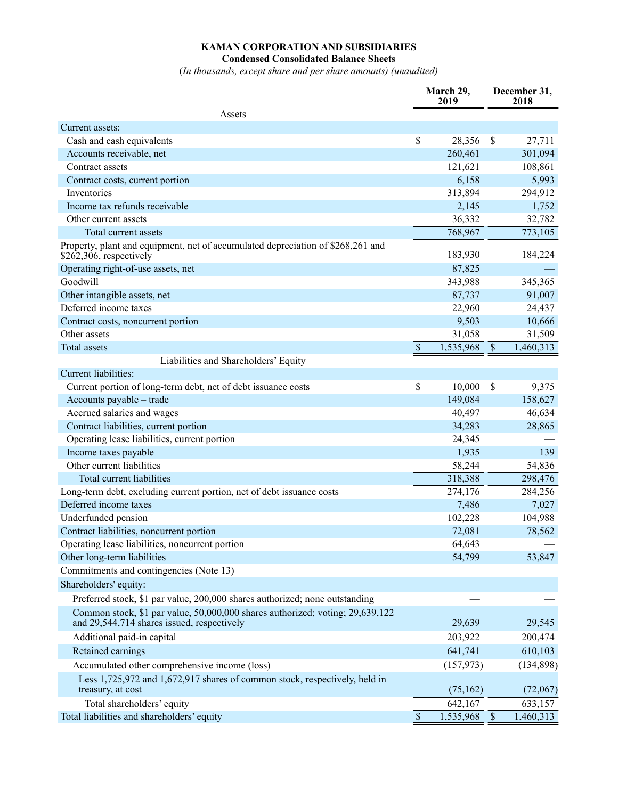### **KAMAN CORPORATION AND SUBSIDIARIES Condensed Consolidated Balance Sheets**

(*In thousands, except share and per share amounts) (unaudited)*

|                                                                                                                             | March 29,<br>2019         |            | December 31,<br>2018 |           |
|-----------------------------------------------------------------------------------------------------------------------------|---------------------------|------------|----------------------|-----------|
| Assets                                                                                                                      |                           |            |                      |           |
| Current assets:                                                                                                             |                           |            |                      |           |
| Cash and cash equivalents                                                                                                   | $\boldsymbol{\mathsf{S}}$ | 28,356     | $\mathcal{S}$        | 27,711    |
| Accounts receivable, net                                                                                                    |                           | 260,461    |                      | 301,094   |
| Contract assets                                                                                                             |                           | 121,621    |                      | 108,861   |
| Contract costs, current portion                                                                                             |                           | 6,158      |                      | 5,993     |
| Inventories                                                                                                                 |                           | 313,894    |                      | 294,912   |
| Income tax refunds receivable                                                                                               |                           | 2,145      |                      | 1,752     |
| Other current assets                                                                                                        |                           | 36,332     |                      | 32,782    |
| Total current assets                                                                                                        |                           | 768,967    |                      | 773,105   |
| Property, plant and equipment, net of accumulated depreciation of \$268,261 and<br>$$262,306$ , respectively                |                           | 183,930    |                      | 184,224   |
| Operating right-of-use assets, net                                                                                          |                           | 87,825     |                      |           |
| Goodwill                                                                                                                    |                           | 343,988    |                      | 345,365   |
| Other intangible assets, net                                                                                                |                           | 87,737     |                      | 91,007    |
| Deferred income taxes                                                                                                       |                           | 22,960     |                      | 24,437    |
| Contract costs, noncurrent portion                                                                                          |                           | 9,503      |                      | 10,666    |
| Other assets                                                                                                                |                           | 31,058     |                      | 31,509    |
| <b>Total assets</b>                                                                                                         | $\boldsymbol{\mathsf{S}}$ | 1,535,968  | $\mathcal{S}$        | 1,460,313 |
| Liabilities and Shareholders' Equity                                                                                        |                           |            |                      |           |
| Current liabilities:                                                                                                        |                           |            |                      |           |
| Current portion of long-term debt, net of debt issuance costs                                                               | \$                        | 10,000     | \$                   | 9,375     |
| Accounts payable - trade                                                                                                    |                           | 149,084    |                      | 158,627   |
| Accrued salaries and wages                                                                                                  |                           | 40,497     |                      | 46,634    |
| Contract liabilities, current portion                                                                                       |                           | 34,283     |                      | 28,865    |
| Operating lease liabilities, current portion                                                                                |                           | 24,345     |                      |           |
| Income taxes payable                                                                                                        |                           | 1,935      |                      | 139       |
| Other current liabilities                                                                                                   |                           | 58,244     |                      | 54,836    |
| Total current liabilities                                                                                                   |                           | 318,388    |                      | 298,476   |
| Long-term debt, excluding current portion, net of debt issuance costs                                                       |                           | 274,176    |                      | 284,256   |
| Deferred income taxes                                                                                                       |                           | 7,486      |                      | 7,027     |
| Underfunded pension                                                                                                         |                           | 102,228    |                      | 104,988   |
| Contract liabilities, noncurrent portion                                                                                    |                           | 72,081     |                      | 78,562    |
| Operating lease liabilities, noncurrent portion                                                                             |                           | 64,643     |                      |           |
| Other long-term liabilities                                                                                                 |                           | 54,799     |                      | 53,847    |
| Commitments and contingencies (Note 13)                                                                                     |                           |            |                      |           |
| Shareholders' equity:                                                                                                       |                           |            |                      |           |
| Preferred stock, \$1 par value, 200,000 shares authorized; none outstanding                                                 |                           |            |                      |           |
| Common stock, \$1 par value, 50,000,000 shares authorized; voting; 29,639,122<br>and 29,544,714 shares issued, respectively |                           | 29,639     |                      | 29,545    |
| Additional paid-in capital                                                                                                  |                           | 203,922    |                      | 200,474   |
| Retained earnings                                                                                                           |                           | 641,741    |                      | 610,103   |
| Accumulated other comprehensive income (loss)                                                                               |                           | (157, 973) |                      | (134,898) |
| Less 1,725,972 and 1,672,917 shares of common stock, respectively, held in<br>treasury, at cost                             |                           | (75, 162)  |                      | (72,067)  |
| Total shareholders' equity                                                                                                  |                           | 642,167    |                      | 633,157   |
| Total liabilities and shareholders' equity                                                                                  | $\mathcal{S}$             | 1,535,968  | $\mathcal{S}$        | 1,460,313 |
|                                                                                                                             |                           |            |                      |           |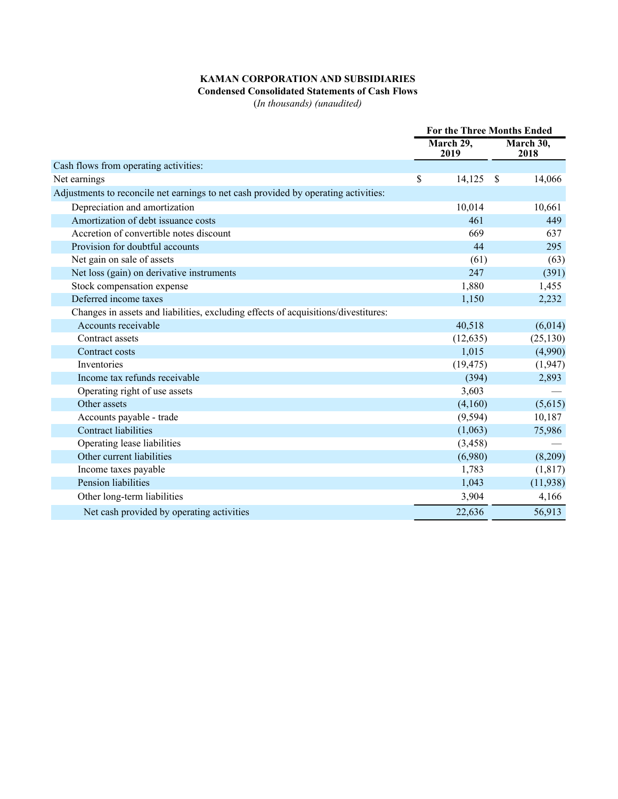# **KAMAN CORPORATION AND SUBSIDIARIES Condensed Consolidated Statements of Cash Flows**

(*In thousands) (unaudited)*

|                                                                                     | <b>For the Three Months Ended</b> |                   |    |                   |
|-------------------------------------------------------------------------------------|-----------------------------------|-------------------|----|-------------------|
|                                                                                     |                                   | March 29,<br>2019 |    | March 30,<br>2018 |
| Cash flows from operating activities:                                               |                                   |                   |    |                   |
| Net earnings                                                                        | \$                                | 14,125            | -S | 14,066            |
| Adjustments to reconcile net earnings to net cash provided by operating activities: |                                   |                   |    |                   |
| Depreciation and amortization                                                       |                                   | 10,014            |    | 10,661            |
| Amortization of debt issuance costs                                                 |                                   | 461               |    | 449               |
| Accretion of convertible notes discount                                             |                                   | 669               |    | 637               |
| Provision for doubtful accounts                                                     |                                   | 44                |    | 295               |
| Net gain on sale of assets                                                          |                                   | (61)              |    | (63)              |
| Net loss (gain) on derivative instruments                                           |                                   | 247               |    | (391)             |
| Stock compensation expense                                                          |                                   | 1,880             |    | 1,455             |
| Deferred income taxes                                                               |                                   | 1,150             |    | 2,232             |
| Changes in assets and liabilities, excluding effects of acquisitions/divestitures:  |                                   |                   |    |                   |
| Accounts receivable                                                                 |                                   | 40,518            |    | (6,014)           |
| Contract assets                                                                     |                                   | (12, 635)         |    | (25, 130)         |
| Contract costs                                                                      |                                   | 1,015             |    | (4,990)           |
| Inventories                                                                         |                                   | (19, 475)         |    | (1, 947)          |
| Income tax refunds receivable                                                       |                                   | (394)             |    | 2,893             |
| Operating right of use assets                                                       |                                   | 3,603             |    |                   |
| Other assets                                                                        |                                   | (4,160)           |    | (5,615)           |
| Accounts payable - trade                                                            |                                   | (9, 594)          |    | 10,187            |
| <b>Contract liabilities</b>                                                         |                                   | (1,063)           |    | 75,986            |
| Operating lease liabilities                                                         |                                   | (3, 458)          |    |                   |
| Other current liabilities                                                           |                                   | (6,980)           |    | (8,209)           |
| Income taxes payable                                                                |                                   | 1,783             |    | (1, 817)          |
| Pension liabilities                                                                 |                                   | 1,043             |    | (11,938)          |
| Other long-term liabilities                                                         |                                   | 3,904             |    | 4,166             |
| Net cash provided by operating activities                                           |                                   | 22,636            |    | 56,913            |